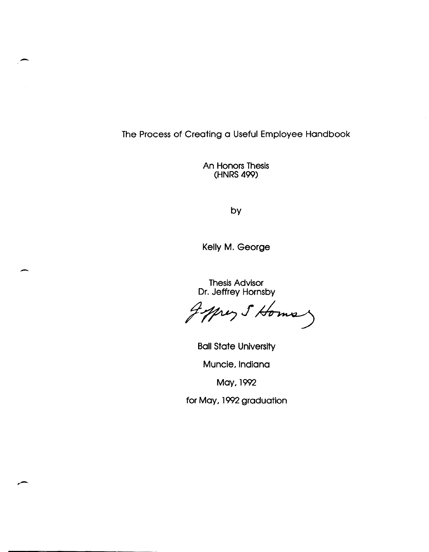The Process of Creating a Useful Employee Handbook

-

 $\overline{\phantom{0}}$ 

An Honors Thesis (HNRS 499)

by

Kelly M. George

Thesis Advisor Dr. Jeffrey Hornsby

yres 5 Homes

Ball State University

Muncie, Indiana

May, 1992

for May, 1992 graduation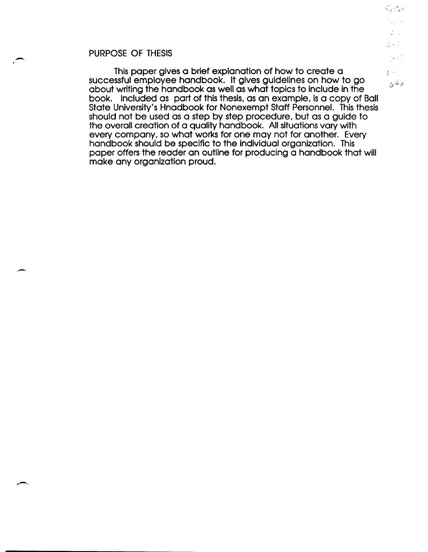#### PURPOSE OF THESIS

-

 $\overline{\phantom{0}}$ 

This paper gives a brief explanation of how to create a successful employee handbook. It gives guidelines on how to go about writing the handbook as well as what topics to include in the book. Included as part of this thesis, as an example, is a copy of Ball State University's Hnadbook for Nonexempt Staff Personnel. This thesis should not be used as a step by step procedure, but as a guide to the overall creation of a quality handbook. All situations vary with every company, so what works for one may not for another. Every handbook should be specific to the individual organization. This paper offers the reader an outline for producing a handbook that will make any organization proud.

 $j \rightarrow \infty$ 

j v P

 $\frac{1}{2} \frac{1}{2} \left( \frac{1}{2} \right)^2$ 

فالمذبي

Seter  $\mathcal{P}^{(1)}$  My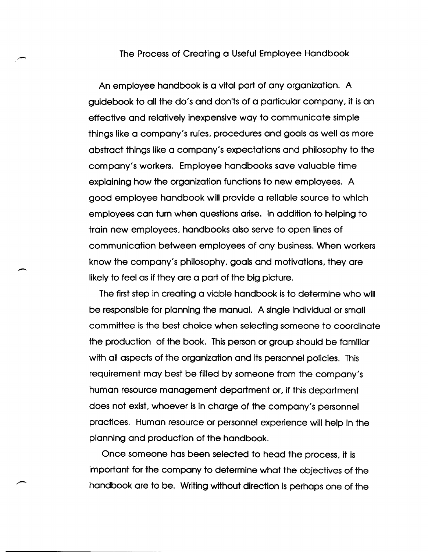#### The Process of Creating a Useful Employee Handbook

--

 $\overline{\phantom{0}}$ 

An employee handbook is a vital part of any organization. A guidebook to all the do's and don'ts of a particular company, it is an effective and relatively inexpensive way to communicate simple things like a company's rules, procedures and goals as well as more abstract things like a company's expectations and philosophy to the company's workers. Employee handbooks save valuable time explaining how the organization functions to new employees. A good employee handbook will provide a reliable source to which employees can turn when questions arise. In addition to helping to train new employees, handbooks also serve to open lines of communication between employees of any business. When workers know the company's philosophy, goals and motivations, they are likely to feel as if they are a part of the big picture.

The first step in creating a viable handbook is to determine who will be responsible for planning the manual. A single individual or small committee is the best choice when selecting someone to coordinate the production of the book. This person or group should be familiar with all aspects of the organization and its personnel policies. This requirement may best be filled by someone from the company's human resource management department or, if this department does not exist, whoever is in charge of the company's personnel practices. Human resource or personnel experience will help in the planning and production of the handbook.

Once someone has been selected to head the process, it is important for the company to determine what the objectives of the handbook are to be. Writing without direction is perhaps one of the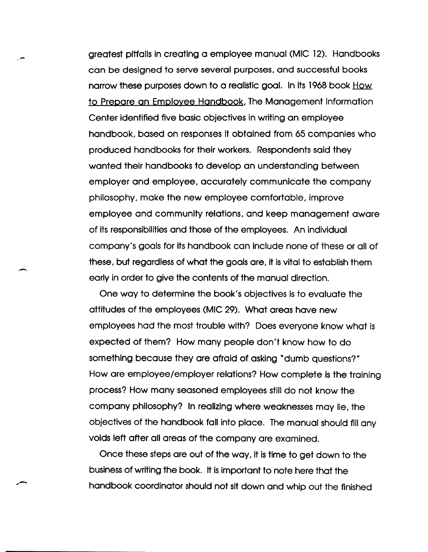greatest pitfalls in creating a employee manual (MIC 12). Handbooks can be designed to serve several purposes, and successful books narrow these purposes down to a realistic goal. In its 1968 book How to Prepare an Employee Handbook, The Management Information Center identified five basic objectives in writing an employee handbook, based on responses it obtained from 65 companies who produced handbooks for their workers. Respondents said they wanted their handbooks to develop an understanding between employer and employee, accurately communicate the company philosophy, make the new employee comfortable, improve employee and community relations, and keep management aware of its responsibilities and those of the employees. An individual company's goals for its handbook can include none of these or all of these, but regardless of what the goals are, it is vital to establish them early in order to give the contents of the manual direction.

.-

One way to determine the book's objectives is to evaluate the attitudes of the employees (MIC 29). What areas have new employees had the most trouble with? Does everyone know what is expected of them? How many people don't know how to do something because they are afraid of asking "dumb questions?" How are employee/employer relations? How complete is the training process? How many seasoned employees still do not know the company philosophy? In realizing where weaknesses may lie, the objectives of the handbook fall into place. The manual should fill any voids left after all areas of the company are examined.

Once these steps are out of the way, it is time to get down to the business of writing the book. It is important to note here that the handbook coordinator should not sit down and whip out the finished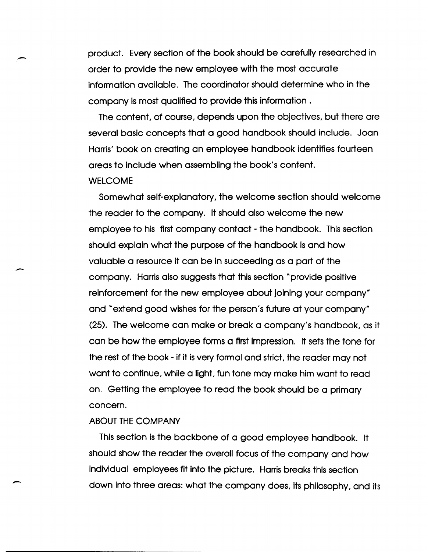product. Every section of the book should be carefully researched in order to provide the new employee with the most accurate information available. The coordinator should determine who in the company is most qualified to provide this information.

The content. of course, depends upon the objectives, but there are several basic concepts that a good handbook should include. Joan Harris' book on creating an employee handbook identifies fourteen areas to include when assembling the book's content. WELCOME

Somewhat self-explanatory, the welcome section should welcome the reader to the company. It should also welcome the new employee to his first company contact - the handbook. This section should explain what the purpose of the handbook is and how valuable a resource it can be in succeeding as a part of the company. Harris also suggests that this section "provide positive reinforcement for the new employee about joining your company" and "extend good wishes for the person's future at your company" (25). The welcome can make or break a company's handbook, as it can be how the employee forms a first impression. It sets the tone for the rest of the book - if it is very formal and strict, the reader may not want to continue, while a light. fun tone may make him want to read on. Getting the employee to read the book should be a primary concern.

#### ABOUT THE COMPANY

-

This section is the backbone of a good employee handbook. It should show the reader the overall focus of the company and how individual employees fit into the picture. Harris breaks this section down into three areas: what the company does, its philosophy, and its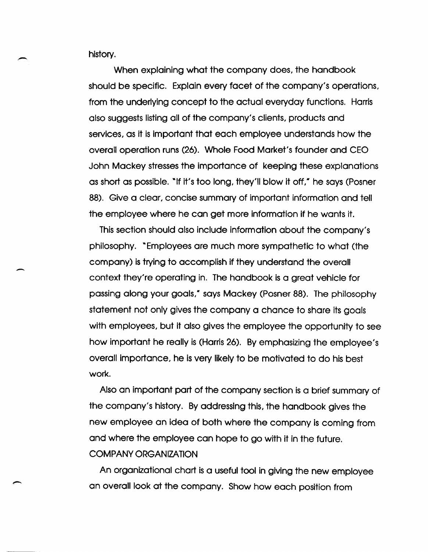history.

-

When explaining what the company does, the handbook should be specific. Explain every facet of the company's operations, from the underlying concept to the actual everyday functions. Harris also suggests listing all of the company's clients, products and services, as it is important that each employee understands how the overall operation runs (26). Whole Food Market's founder and CEO John Mackey stresses the importance of keeping these explanations as short as possible. "If it's too long, they'll blow it off," he says (Posner 88). Give a clear, concise summary of important information and tell the employee where he can get more information if he wants it.

This section should also include information about the company's philosophy. "Employees are much more sympathetic to what (the company) is trying to accomplish if they understand the overall context they're operating in. The handbook is a great vehicle for passing along your goals," says Mackey (Posner 88). The philosophy statement not only gives the company a chance to share its goals with employees, but it also gives the employee the opportunity to see how important he really is (Harris 26). By emphasizing the employee's overall importance, he is very likely to be motivated to do his best work.

Also an important part of the company section is a brief summary of the company's history. By addressing this, the handbook gives the new employee an idea of both where the company is coming from and where the employee can hope to go with it in the future. COMPANY ORGANIZATION

An organizational chart is a useful tool in giving the new employee an overall look at the company. Show how each position from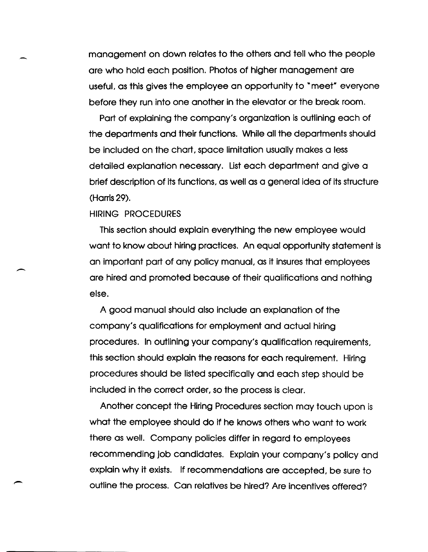management on down relates to the others and tell who the people are who hold each position. Photos of higher management are useful, as this gives the employee an opportunity to "meet" everyone before they run into one another in the elevator or the break room.

Part of explaining the company's organization is outlining each of the departments and their functions. While all the departments should be included on the chart, space limitation usually makes a less detailed explanation necessary. List each department and give a brief description of its functions, as well as a general idea of its structure (Harris 29).

#### HIRING PROCEDURES

--

This section should explain everything the new employee would want to know about hiring practices. An equal opportunity statement is an important part of any policy manual, as it insures that employees are hired and promoted because of their qualifications and nothing else.

A good manual should also include an explanation of the company's qualifications for employment and actual hiring procedures. In outlining your company's qualification requirements, this section should explain the reasons for each requirement. Hiring procedures should be listed specifically and each step should be included in the correct order, so the process is clear.

Another concept the Hiring Procedures section may touch upon is what the employee should do if he knows others who want to work there as well. Company policies differ in regard to employees recommending job candidates. Explain your company's policy and explain why it exists. If recommendations are accepted, be sure to outline the process. Can relatives be hired? Are incentives offered?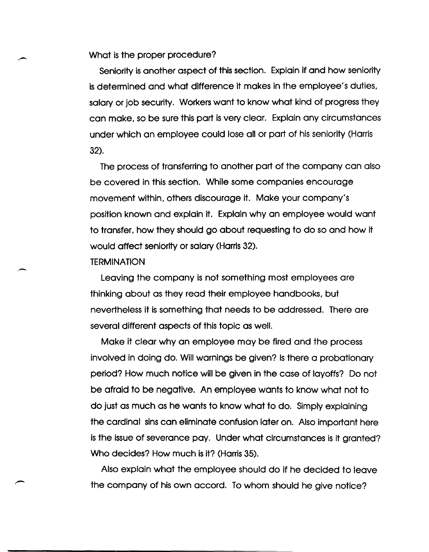What is the proper procedure?

Seniority is another aspect of this section. Explain if and how seniority is determined and what difference it makes in the employee's duties, salary or job security. Workers want to know what kind of progress they can make, so be sure this part is very clear. Explain any circumstances under which an employee could lose all or part of his seniority (Harris 32).

The process of transferring to another part of the company can also be covered in this section. While some companies encourage movement within, others discourage it. Make your company's position known and explain it. Explain why an employee would want to transfer, how they should go about requesting to do so and how it would affect seniority or salary (Harris 32).

**TERMINATION** 

.-

Leaving the company is not something most employees are thinking about as they read their employee handbooks, but nevertheless it is something that needs to be addressed. There are several different aspects of this topic as well.

Make it clear why an employee may be fired and the process involved in doing do. Will warnings be given? Is there a probationary period? How much notice will be given in the case of layoffs? Do not be afraid to be negative. An employee wants to know what not to do just as much as he wants to know what to do. Simply explaining the cardinal sins can eliminate confusion later on. Also important here is the issue of severance pay. Under what circumstances is it granted? Who decides? How much is it? (Harris 35).

Also explain what the employee should do if he decided to leave the company of his own accord. To whom should he give notice?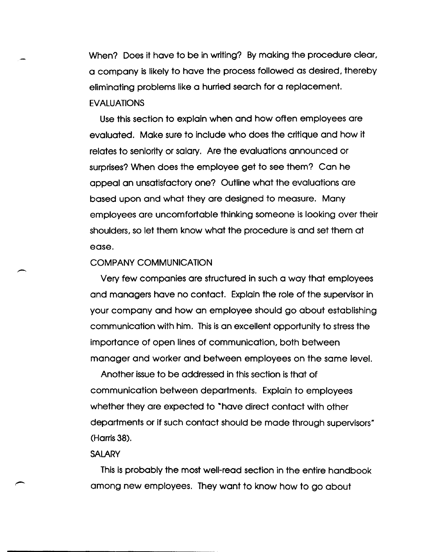When? Does it have to be in writing? By making the procedure clear, a company is likely to have the process followed as desired, thereby eliminating problems like a hurried search for a replacement. EVALUATIONS

Use this section to explain when and how often employees are evaluated. Make sure to include who does the critique and how it relates to seniority or salary. Are the evaluations announced or surprises? When does the employee get to see them? Can he appeal an unsatisfactory one? Outline what the evaluations are based upon and what they are designed to measure. Many employees are uncomfortable thinking someone is looking over their shoulders, so let them know what the procedure is and set them at ease.

#### COMPANY COMMUNICATION

Very few companies are structured in such a way that employees and managers have no contact. Explain the role of the supervisor in your company and how an employee should go about establishing communication with him. This is an excellent opportunity to stress the importance of open lines of communication, both between manager and worker and between employees on the same level.

Another issue to be addressed in this section is that of communication between departments. Explain to employees whether they are expected to "have direct contact with other departments or if such contact should be made through supervisors" (Harris 38).

#### SALARY

This is probably the most well-read section in the entire handbook among new employees. They want to know how to go about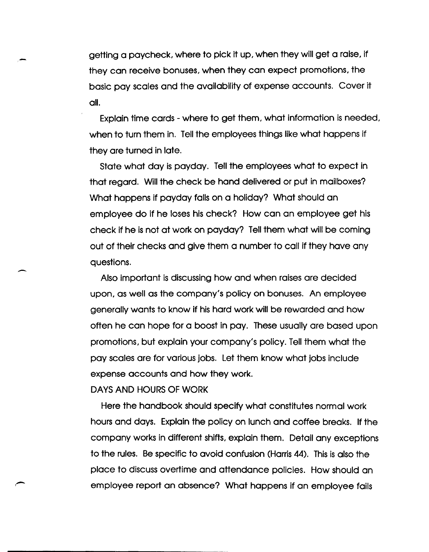getting a paycheck, where to pick it up, when they will get a raise, if they can receive bonuses, when they can expect promotions, the basic pay scales and the availability of expense accounts. Cover it all.

Explain time cards - where to get them, what information is needed, when to turn them in. Tell the employees things like what happens if they are turned in late.

State what day is payday. Tell the employees what to expect in that regard. Will the check be hand delivered or put in mailboxes? What happens if payday falls on a holiday? What should an employee do if he loses his check? How can an employee get his check if he is not at work on payday? Tell them what will be coming out of their checks and give them a number to call if they have any questions.

Also important is discussing how and when raises are decided upon, as well as the company's policy on bonuses. An employee generally wants to know if his hard work will be rewarded and how often he can hope for a boost in pay. These usually are based upon promotions, but explain your company's policy. Tell them what the pay scales are for various jobs. Let them know what jobs include expense accounts and how they work.

#### DAYS AND HOURS OF WORK

-

Here the handbook should specify what constitutes normal work hours and days. Explain the policy on lunch and coffee breaks. If the company works in different shifts, explain them. Detail any exceptions to the rules. Be specific to avoid confusion (Harris 44). This is also the place to discuss overtime and attendance policies. How should an employee report an absence? What happens if an employee fails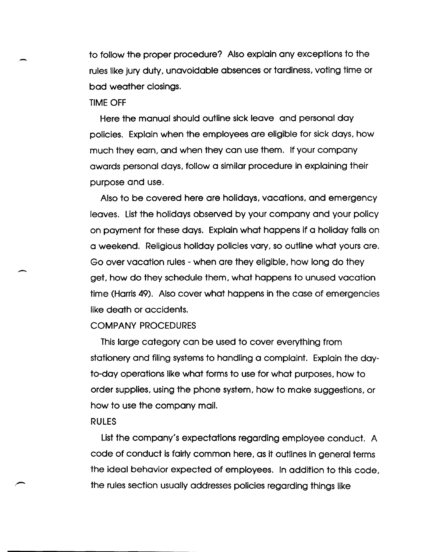to follow the proper procedure? Also explain any exceptions to the rules like jury duty, unavoidable absences or tardiness, voting time or bad weather closings.

#### TIME OFF

Here the manual should outline sick leave and personal day policies. Explain when the employees are eligible for sick days, how much they earn, and when they can use them. If your company awards personal days, follow a similar procedure in explaining their purpose and use.

Also to be covered here are holidays, vacations, and emergency leaves. List the holidays observed by your company and your policy on payment for these days. Explain what happens if a holiday falls on a weekend. Religious holiday policies vary, so outline what yours are. Go over vacation rules - when are they eligible, how long do they get, how do they schedule them, what happens to unused vacation time (Harris 49). Also cover what happens in the case of emergencies like death or accidents.

#### COMPANY PROCEDURES

This large category can be used to cover everything from stationery and filing systems to handling a complaint. Explain the dayto-day operations like what forms to use for what purposes, how to order supplies, using the phone system, how to make suggestions, or how to use the company mail.

#### RULES

 $\overline{\phantom{0}}$ 

List the company's expectations regarding employee conduct. A code of conduct is fairly common here, as it outlines in general terms the ideal behavior expected of employees. In addition to this code, the rules section usually addresses pOlicies regarding things like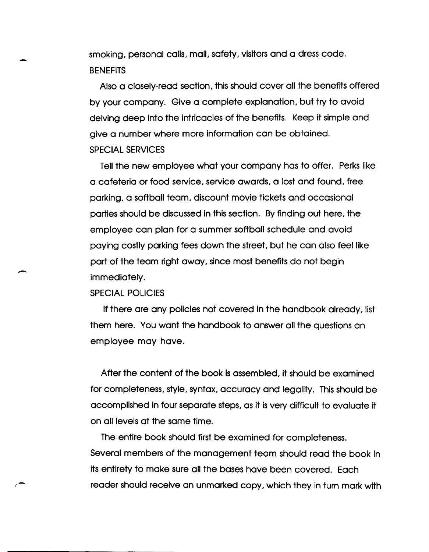smoking, personal calls, mail, safety, visitors and a dress code. **BENEFITS** 

Also a closely-read section, this should cover all the benefits offered by your company. Give a complete explanation, but try to avoid delving deep into the intricacies of the benefits. Keep it simple and give a number where more information can be obtained. SPECIAL SERVICES

Tell the new employee what your company has to offer. Perks like a cafeteria or food service, service awards, a lost and found, free parking, a softball team, discount movie tickets and occasional parties should be discussed in this section. By finding out here, the employee can plan for a summer softball schedule and avoid paying costly parking fees down the street, but he can also feel like part of the team right away, since most benefits do not begin immediately.

#### SPECIAL POLICIES

-

-

If there are any pOlicies not covered in the handbook already, list them here. You want the handbook to answer all the questions an employee may have.

After the content of the book is assembled, it should be examined for completeness, style, syntax, accuracy and legality. This should be accomplished in four separate steps, as it is very difficult to evaluate it on all levels at the same time.

The entire book should first be examined for completeness. Several members of the management team should read the book in its entirety to make sure all the bases have been covered. Each reader should receive an unmarked copy, which they in turn mark with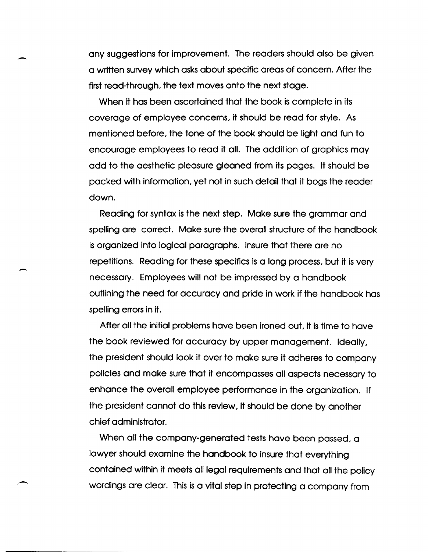any suggestions for improvement. The readers should also be given a written survey which asks about specific areas of concern. After the first read-through, the text moves onto the next stage.

When it has been ascertained that the book is complete in its coverage of employee concerns, it should be read for style. As mentioned before, the tone of the book should be light and fun to encourage employees to read it all. The addition of graphics may add to the aesthetic pleasure gleaned from its pages. It should be packed with information, yet not in such detail that it bogs the reader down.

Reading for syntax is the next step. Make sure the grammar and spelling are correct. Make sure the overall structure of the handbook is organized into logical paragraphs. Insure that there are no repetitions. Reading for these specifics is a long process, but it is very necessary. Employees will not be impressed by a handbook outlining the need for accuracy and pride in work if the handbook has spelling errors in it.

After all the initial problems have been ironed out, it is time to have the book reviewed for accuracy by upper management. Ideally, the president should look it over to make sure it adheres to company policies and make sure that it encompasses all aspects necessary to enhance the overall employee performance in the organization. If the president cannot do this review, it should be done by another chief administrator.

When all the company-generated tests have been passed, a lawyer should examine the handbook to insure that everything contained within it meets all legal requirements and that all the policy wordings are clear. This is a vital step in protecting a company from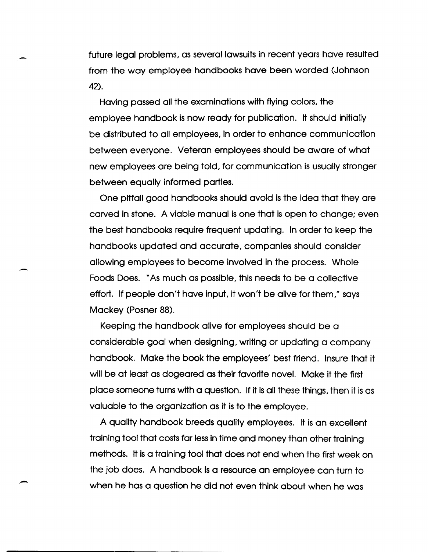future legal problems, as several lawsuits in recent years have resulted from the way employee handbooks have been worded (Johnson 42).

-

.-

Having passed all the examinations with flying colors, the employee handbook is now ready for publication. It should initially be distributed to all employees, in order to enhance communication between everyone. Veteran employees should be aware of what new employees are being told, for communication is usually stronger between equally informed parties.

One pitfall good handbooks should avoid is the idea that they are carved in stone. A viable manual is one that is open to change; even the best handbooks require frequent updating. In order to keep the handbooks updated and accurate, companies should consider allowing employees to become involved in the process. Whole Foods Does. "'As much as possible, this needs to be a collective effort. If people don't have input, it won't be alive for them," says Mackey (Posner 88).

Keeping the handbook alive for employees should be a considerable goal when designing, writing or updating a company handbook. Make the book the employees' best friend. Insure that it will be at least as dogeared as their favorite novel. Make it the first place someone turns with a question. If it is all these things, then it is as valuable to the organization as it is to the employee.

A quality handbook breeds quality employees. It is an excellent training tool that costs far less in time and money than other training methods. It is a training tool that does not end when the first week on the job does. A handbook is a resource an employee can turn to when he has a question he did not even think about when he was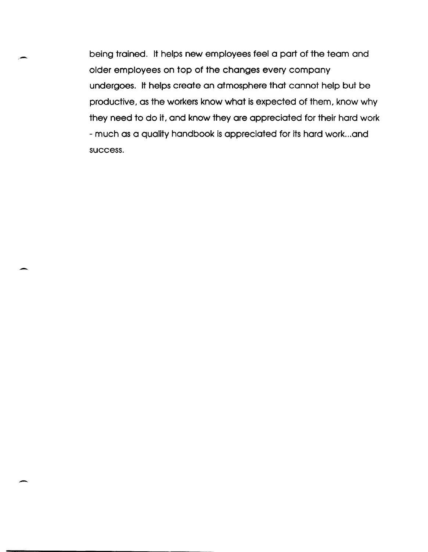being trained. It helps new employees feel a part of the team and older employees on top of the changes every company undergoes. It helps create an atmosphere that cannot help but be productive, as the workers know what is expected of them, know why they need to do it, and know they are appreciated for their hard work - much as a quality handbook is appreciated for its hard work ... and success.

-

-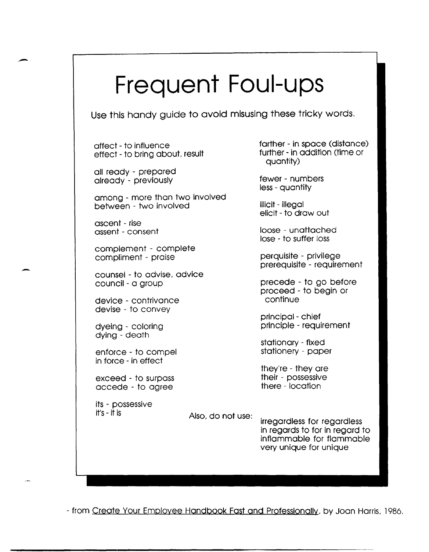## **Frequent Foul-ups**

Use this handy guide to avoid misusing these tricky words.

affect - to influence effect - to bring about. result

all ready - prepared already - previously

among - more than two involved between - two involved

ascent - rise assent - consent

-

complement - complete compliment - praise

counsel - to advise, advice council - a group

device - contrivance devise - to convey

dyeing - coloring dying - death

enforce - to compel in force - in effect

exceed - to surpass accede - to agree

its - possessive

farther - in space (distance) further - in addition (time or quantity)

fewer - numbers less - quantity

illicit - illegal elicit - to draw out

loose - unattached lose - to suffer loss

perquisite - privilege prerequisite - requirement

precede - to go before proceed - to begin or continue

principal - chief principle - requirement

stationary - fixed stationery - paper

they're - they are their - possessive there - location

irregardless for regardless in regards to for in regard to inflammable for flammable very unique for unique

- from Create Your Employee Handbook Fast and Professionally, by Joan Harris, 1986.

Also, do not use: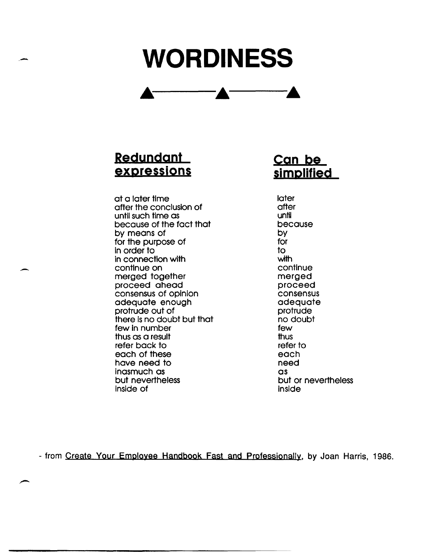# **WORDINESS**

### **Redundant expressions**

at a later time after the conclusion of until such time as because of the fact that by means of for the purpose of In order to in connection with continue on merged together proceed ahead consensus of opinion adequate enough protrude out of there is no doubt but that few In number thus as a result refer back to each of these have need to Inasmuch as but nevertheless inside of

-

**Can be simplified** 

**later** after until because by for to with continue merged proceed consensus adequate protrude no doubt few thus refer to each need as but or nevertheless inside

- from Create your Employee Handbook East and professionally, by Joan Harris, 1986.